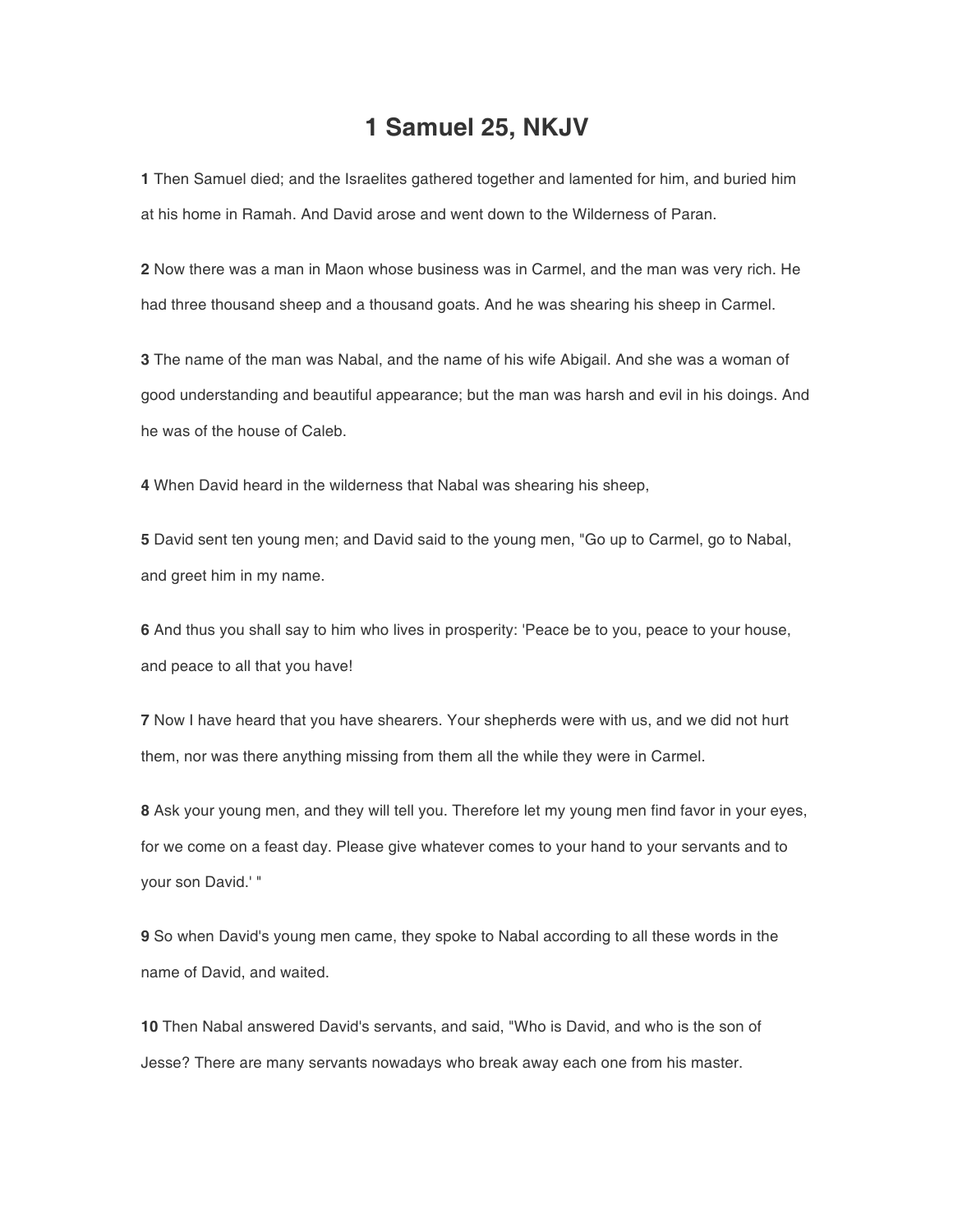## **1 Samuel 25, NKJV**

**1** Then Samuel died; and the Israelites gathered together and lamented for him, and buried him at his home in Ramah. And David arose and went down to the Wilderness of Paran.

**2** Now there was a man in Maon whose business was in Carmel, and the man was very rich. He had three thousand sheep and a thousand goats. And he was shearing his sheep in Carmel.

**3** The name of the man was Nabal, and the name of his wife Abigail. And she was a woman of good understanding and beautiful appearance; but the man was harsh and evil in his doings. And he was of the house of Caleb.

**4** When David heard in the wilderness that Nabal was shearing his sheep,

**5** David sent ten young men; and David said to the young men, "Go up to Carmel, go to Nabal, and greet him in my name.

**6** And thus you shall say to him who lives in prosperity: 'Peace be to you, peace to your house, and peace to all that you have!

**7** Now I have heard that you have shearers. Your shepherds were with us, and we did not hurt them, nor was there anything missing from them all the while they were in Carmel.

**8** Ask your young men, and they will tell you. Therefore let my young men find favor in your eyes, for we come on a feast day. Please give whatever comes to your hand to your servants and to your son David.' "

**9** So when David's young men came, they spoke to Nabal according to all these words in the name of David, and waited.

**10** Then Nabal answered David's servants, and said, "Who is David, and who is the son of Jesse? There are many servants nowadays who break away each one from his master.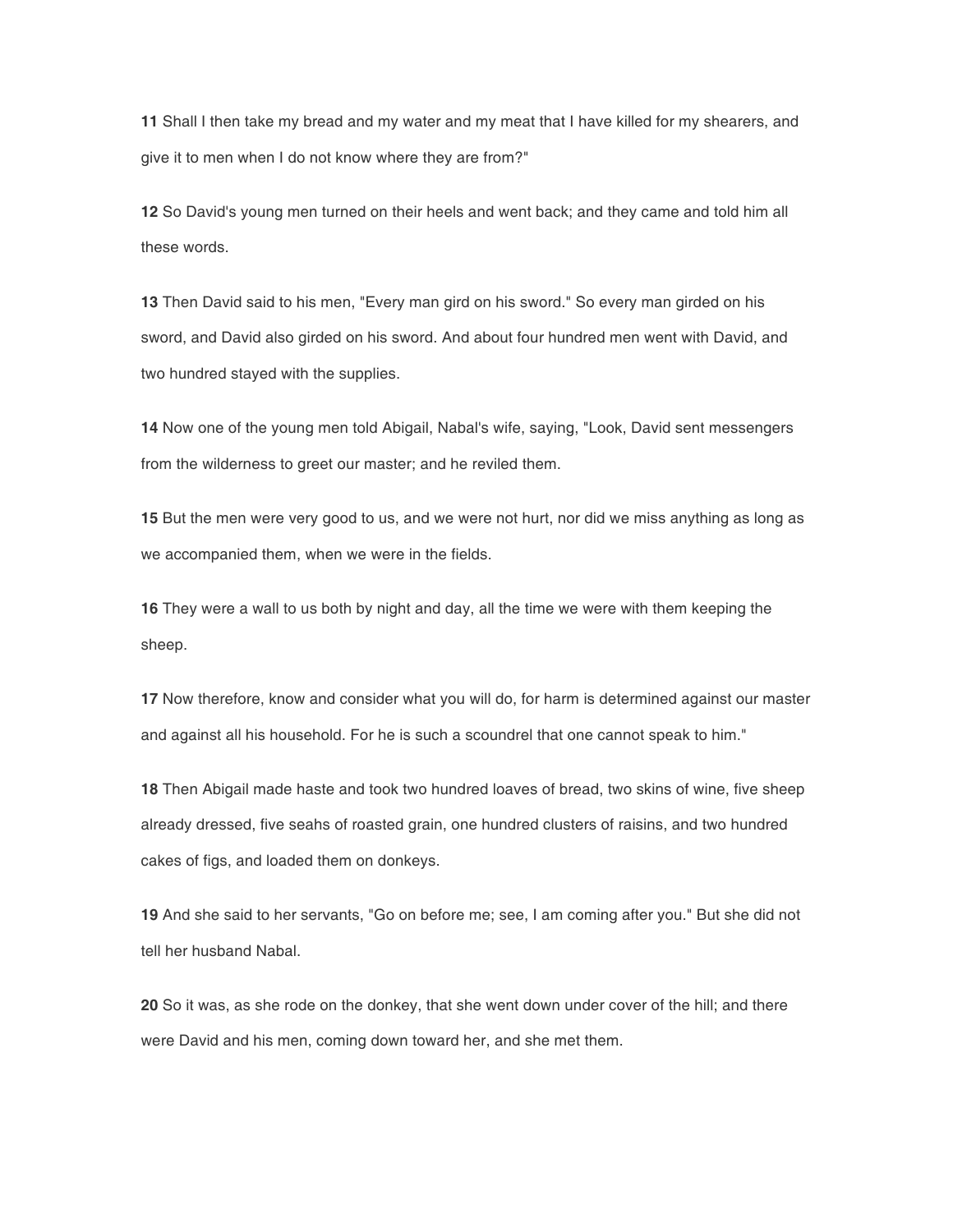**11** Shall I then take my bread and my water and my meat that I have killed for my shearers, and give it to men when I do not know where they are from?"

**12** So David's young men turned on their heels and went back; and they came and told him all these words.

**13** Then David said to his men, "Every man gird on his sword." So every man girded on his sword, and David also girded on his sword. And about four hundred men went with David, and two hundred stayed with the supplies.

**14** Now one of the young men told Abigail, Nabal's wife, saying, "Look, David sent messengers from the wilderness to greet our master; and he reviled them.

**15** But the men were very good to us, and we were not hurt, nor did we miss anything as long as we accompanied them, when we were in the fields.

**16** They were a wall to us both by night and day, all the time we were with them keeping the sheep.

**17** Now therefore, know and consider what you will do, for harm is determined against our master and against all his household. For he is such a scoundrel that one cannot speak to him."

**18** Then Abigail made haste and took two hundred loaves of bread, two skins of wine, five sheep already dressed, five seahs of roasted grain, one hundred clusters of raisins, and two hundred cakes of figs, and loaded them on donkeys.

**19** And she said to her servants, "Go on before me; see, I am coming after you." But she did not tell her husband Nabal.

**20** So it was, as she rode on the donkey, that she went down under cover of the hill; and there were David and his men, coming down toward her, and she met them.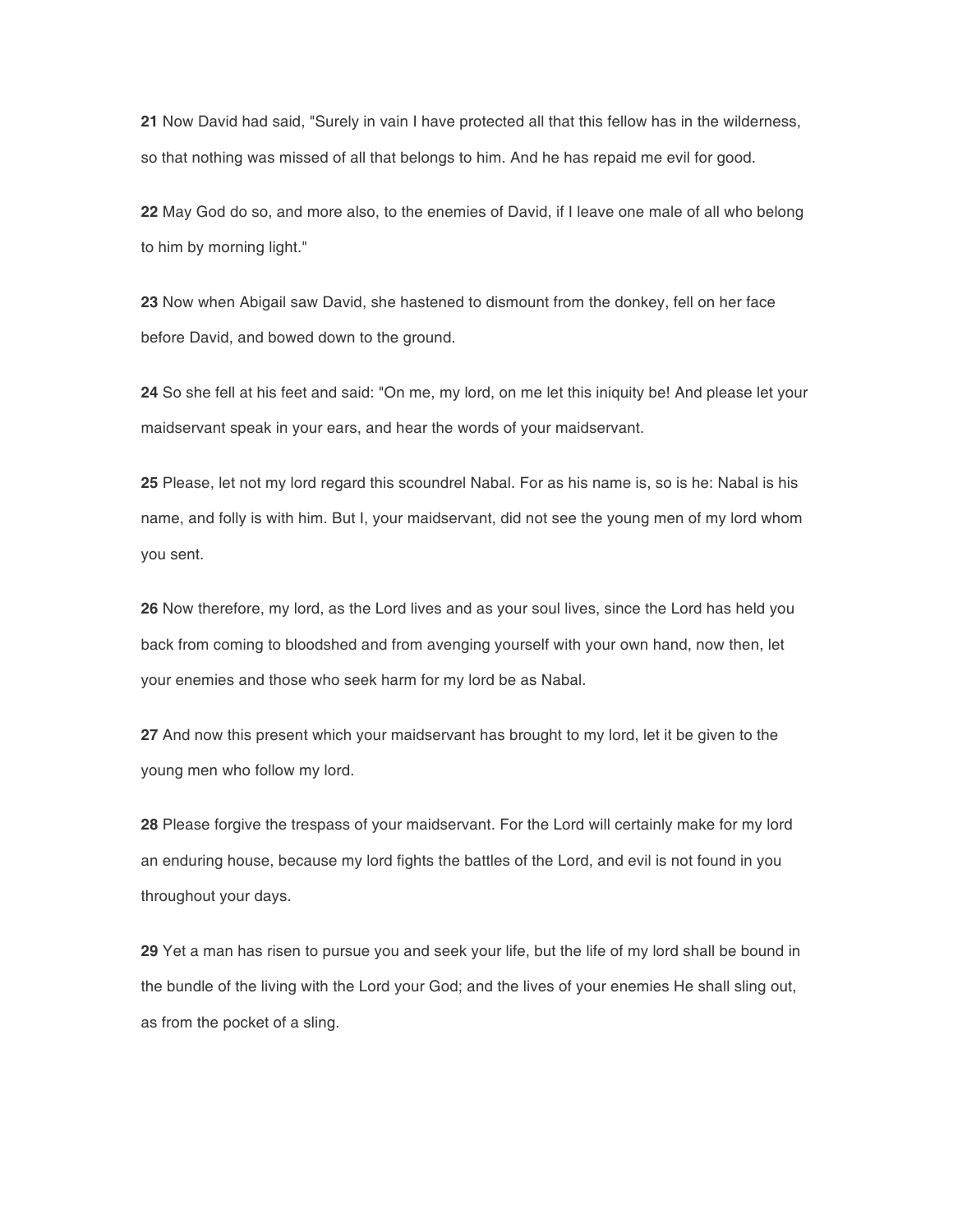**21** Now David had said, "Surely in vain I have protected all that this fellow has in the wilderness, so that nothing was missed of all that belongs to him. And he has repaid me evil for good.

**22** May God do so, and more also, to the enemies of David, if I leave one male of all who belong to him by morning light."

**23** Now when Abigail saw David, she hastened to dismount from the donkey, fell on her face before David, and bowed down to the ground.

**24** So she fell at his feet and said: "On me, my lord, on me let this iniquity be! And please let your maidservant speak in your ears, and hear the words of your maidservant.

**25** Please, let not my lord regard this scoundrel Nabal. For as his name is, so is he: Nabal is his name, and folly is with him. But I, your maidservant, did not see the young men of my lord whom you sent.

**26** Now therefore, my lord, as the Lord lives and as your soul lives, since the Lord has held you back from coming to bloodshed and from avenging yourself with your own hand, now then, let your enemies and those who seek harm for my lord be as Nabal.

**27** And now this present which your maidservant has brought to my lord, let it be given to the young men who follow my lord.

**28** Please forgive the trespass of your maidservant. For the Lord will certainly make for my lord an enduring house, because my lord fights the battles of the Lord, and evil is not found in you throughout your days.

**29** Yet a man has risen to pursue you and seek your life, but the life of my lord shall be bound in the bundle of the living with the Lord your God; and the lives of your enemies He shall sling out, as from the pocket of a sling.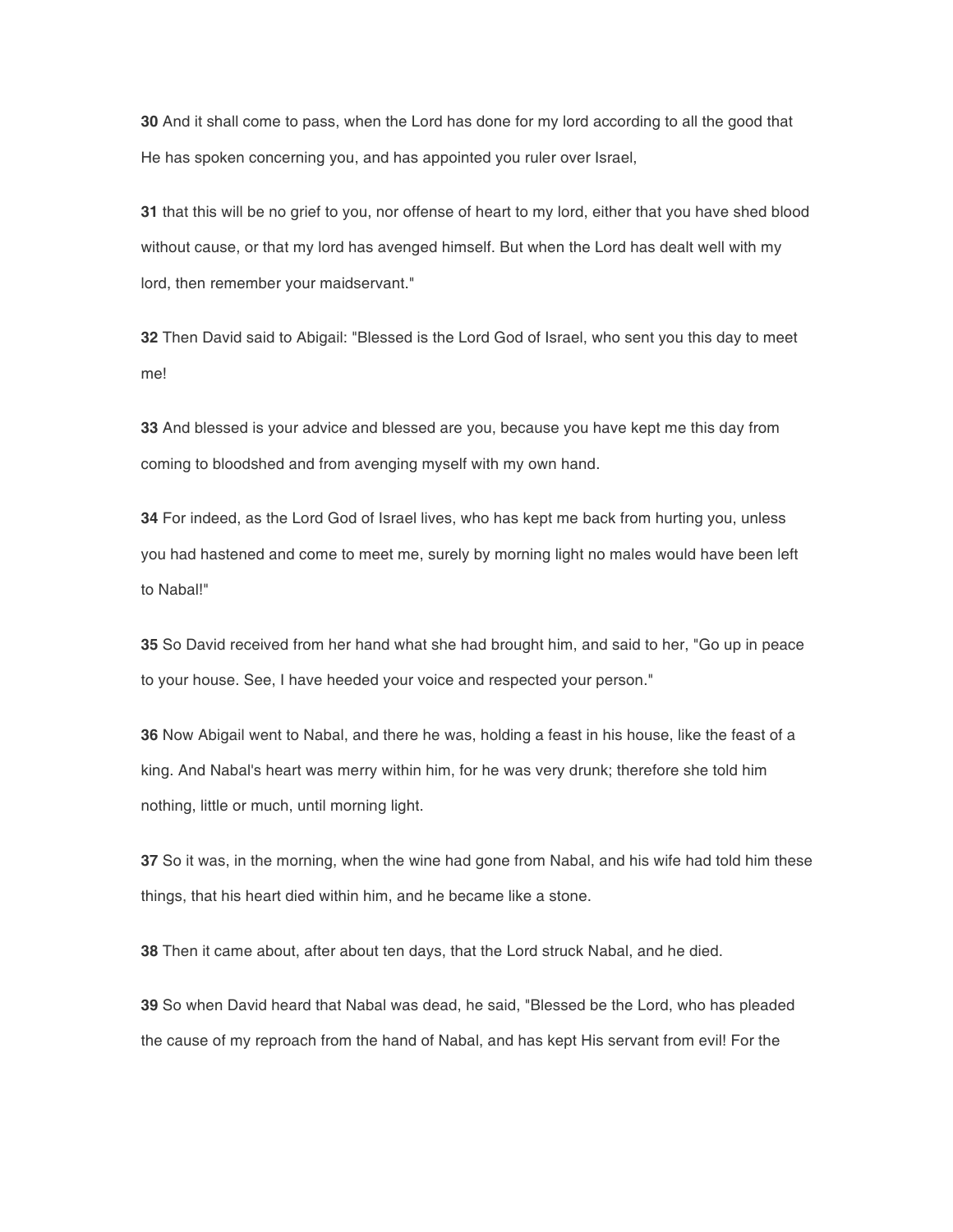**30** And it shall come to pass, when the Lord has done for my lord according to all the good that He has spoken concerning you, and has appointed you ruler over Israel,

**31** that this will be no grief to you, nor offense of heart to my lord, either that you have shed blood without cause, or that my lord has avenged himself. But when the Lord has dealt well with my lord, then remember your maidservant."

**32** Then David said to Abigail: "Blessed is the Lord God of Israel, who sent you this day to meet me!

**33** And blessed is your advice and blessed are you, because you have kept me this day from coming to bloodshed and from avenging myself with my own hand.

**34** For indeed, as the Lord God of Israel lives, who has kept me back from hurting you, unless you had hastened and come to meet me, surely by morning light no males would have been left to Nabal!"

**35** So David received from her hand what she had brought him, and said to her, "Go up in peace to your house. See, I have heeded your voice and respected your person."

**36** Now Abigail went to Nabal, and there he was, holding a feast in his house, like the feast of a king. And Nabal's heart was merry within him, for he was very drunk; therefore she told him nothing, little or much, until morning light.

**37** So it was, in the morning, when the wine had gone from Nabal, and his wife had told him these things, that his heart died within him, and he became like a stone.

**38** Then it came about, after about ten days, that the Lord struck Nabal, and he died.

**39** So when David heard that Nabal was dead, he said, "Blessed be the Lord, who has pleaded the cause of my reproach from the hand of Nabal, and has kept His servant from evil! For the